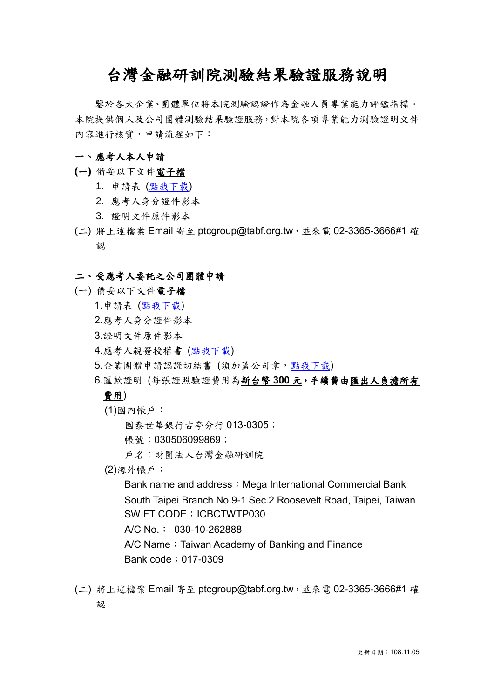# 台灣金融研訓院測驗結果驗證服務說明

鑒於各大企業、團體單位將本院測驗認證作為金融人員專業能力評鑑指標。 本院提供個人及公司團體測驗結果驗證服務,對本院各項專業能力測驗證明文件 內容進行核實,申請流程如下:

### 一、 應考人本人申請

- **(**一**)** 備妥以下文件電子檔
	- 1. 申請表 ([點我下載](http://www.tabf.org.tw/exam/doc/cert/%E9%99%84%E4%BB%B6%E4%BA%8C-%E5%8F%B0%E7%81%A3%E9%87%91%E8%9E%8D%E7%A0%94%E8%A8%93%E9%99%A2%E6%B8%AC%E9%A9%97%E7%B5%90%E6%9E%9C%E9%A9%97%E8%AD%89%E6%9C%8D%E5%8B%99%E7%94%B3%E8%AB%8B%E8%A1%A8(%E6%87%89%E8%80%83%E4%BA%BA%E6%9C%AC%E4%BA%BA).docx))
	- 2. 應考人身分證件影本
	- 3. 證明文件原件影本
- (二) 將上述檔案 Email 寄至 ptcgroup@tabf.org.tw,並來電 02-3365-3666#1 確 認

#### 二、 受應考人委託之公司團體申請

- (一) 備妥以下文件電子檔
	- 1.申請表 ([點我下載](http://www.tabf.org.tw/exam/doc/cert/%E9%99%84%E4%BB%B6%E4%B8%89-%E5%8F%B0%E7%81%A3%E9%87%91%E8%9E%8D%E7%A0%94%E8%A8%93%E9%99%A2%E6%B8%AC%E9%A9%97%E7%B5%90%E6%9E%9C%E9%A9%97%E8%AD%89%E6%9C%8D%E5%8B%99%E7%94%B3%E8%AB%8B%E8%A1%A8(%E5%8F%97%E8%A8%97%E5%85%AC%E5%8F%B8%E5%9C%98%E9%AB%94).docx))
	- 2.應考人身分證件影本
	- 3.證明文件原件影本
	- 4.應考人親簽授權書 ([點我下載](http://www.tabf.org.tw/exam/doc/cert/%E9%99%84%E4%BB%B6%E5%9B%9B-%E5%8F%B0%E7%81%A3%E9%87%91%E8%9E%8D%E7%A0%94%E8%A8%93%E9%99%A2%E6%B8%AC%E9%A9%97%E7%B5%90%E6%9E%9C%E9%A9%97%E8%AD%89%E6%9C%8D%E5%8B%99%E6%87%89%E8%80%83%E4%BA%BA%E6%8E%88%E6%AC%8A%E6%9B%B8.docx))
	- 5.企業團體申請認證切結書 (須加蓋公司章[,點我下載](http://www.tabf.org.tw/exam/doc/cert/%E9%99%84%E4%BB%B6%E4%BA%94-%E4%BC%81%E6%A5%AD%E5%9C%98%E9%AB%94%E7%94%B3%E8%AB%8B%E5%8F%B0%E7%81%A3%E9%87%91%E8%9E%8D%E7%A0%94%E8%A8%93%E9%99%A2%E6%B8%AC%E9%A9%97%E7%B5%90%E6%9E%9C%E9%A9%97%E8%AD%89%E6%9C%8D%E5%8B%99%E5%88%87%E7%B5%90%E6%9B%B8.docx))
	- 6.匯款證明 (每張證照驗證費用為新台幣 **300** 元,手續費由匯出人負擔所有

## 費用)

(1)國內帳戶:

國泰世華銀行古亭分行 013-0305;

帳號:030506099869;

戶名:財團法人台灣金融研訓院

(2)海外帳戶:

Bank name and address: Mega International Commercial Bank South Taipei Branch No.9-1 Sec.2 Roosevelt Road, Taipei, Taiwan SWIFT CODE: ICBCTWTP030

A/C No.: 030-10-262888

A/C Name: Taiwan Academy of Banking and Finance Bank code:017-0309

(二) 將上述檔案 Email 寄至 ptcgroup@tabf.org.tw,並來電 02-3365-3666#1 確 認